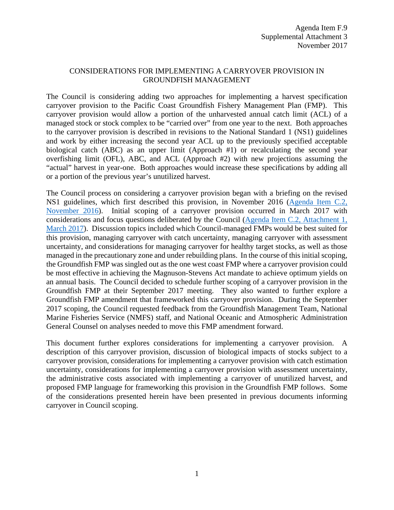### CONSIDERATIONS FOR IMPLEMENTING A CARRYOVER PROVISION IN GROUNDFISH MANAGEMENT

The Council is considering adding two approaches for implementing a harvest specification carryover provision to the Pacific Coast Groundfish Fishery Management Plan (FMP). This carryover provision would allow a portion of the unharvested annual catch limit (ACL) of a managed stock or stock complex to be "carried over" from one year to the next. Both approaches to the carryover provision is described in revisions to the National Standard 1 (NS1) guidelines and work by either increasing the second year ACL up to the previously specified acceptable biological catch (ABC) as an upper limit (Approach #1) or recalculating the second year overfishing limit (OFL), ABC, and ACL (Approach #2) with new projections assuming the "actual" harvest in year-one. Both approaches would increase these specifications by adding all or a portion of the previous year's unutilized harvest.

The Council process on considering a carryover provision began with a briefing on the revised NS1 guidelines, which first described this provision, in November 2016 [\(Agenda Item C.2,](http://www.pcouncil.org/wp-content/uploads/2016/10/C2__SitSum_NS_Guidelines_Update_NOV2016BB.pdf)  [November 2016\)](http://www.pcouncil.org/wp-content/uploads/2016/10/C2__SitSum_NS_Guidelines_Update_NOV2016BB.pdf). Initial scoping of a carryover provision occurred in March 2017 with considerations and focus questions deliberated by the Council [\(Agenda Item C.2, Attachment 1,](https://www.pcouncil.org/resources/archives/briefing-books/march-2017-briefing-book/#adminMar2017)  [March 2017\)](https://www.pcouncil.org/resources/archives/briefing-books/march-2017-briefing-book/#adminMar2017). Discussion topics included which Council-managed FMPs would be best suited for this provision, managing carryover with catch uncertainty, managing carryover with assessment uncertainty, and considerations for managing carryover for healthy target stocks, as well as those managed in the precautionary zone and under rebuilding plans. In the course of this initial scoping, the Groundfish FMP was singled out as the one west coast FMP where a carryover provision could be most effective in achieving the Magnuson-Stevens Act mandate to achieve optimum yields on an annual basis. The Council decided to schedule further scoping of a carryover provision in the Groundfish FMP at their September 2017 meeting. They also wanted to further explore a Groundfish FMP amendment that frameworked this carryover provision. During the September 2017 scoping, the Council requested feedback from the Groundfish Management Team, National Marine Fisheries Service (NMFS) staff, and National Oceanic and Atmospheric Administration General Counsel on analyses needed to move this FMP amendment forward.

This document further explores considerations for implementing a carryover provision. A description of this carryover provision, discussion of biological impacts of stocks subject to a carryover provision, considerations for implementing a carryover provision with catch estimation uncertainty, considerations for implementing a carryover provision with assessment uncertainty, the administrative costs associated with implementing a carryover of unutilized harvest, and proposed FMP language for frameworking this provision in the Groundfish FMP follows. Some of the considerations presented herein have been presented in previous documents informing carryover in Council scoping.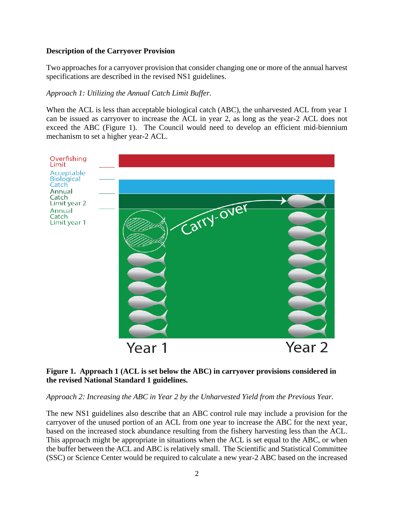## **Description of the Carryover Provision**

Two approaches for a carryover provision that consider changing one or more of the annual harvest specifications are described in the revised NS1 guidelines.

## *Approach 1: Utilizing the Annual Catch Limit Buffer.*

When the ACL is less than acceptable biological catch (ABC), the unharvested ACL from year 1 can be issued as carryover to increase the ACL in year 2, as long as the year-2 ACL does not exceed the ABC [\(Figure 1\)](#page-1-0). The Council would need to develop an efficient mid-biennium mechanism to set a higher year-2 ACL.



### <span id="page-1-0"></span>**Figure 1. Approach 1 (ACL is set below the ABC) in carryover provisions considered in the revised National Standard 1 guidelines.**

### *Approach 2: Increasing the ABC in Year 2 by the Unharvested Yield from the Previous Year.*

The new NS1 guidelines also describe that an ABC control rule may include a provision for the carryover of the unused portion of an ACL from one year to increase the ABC for the next year, based on the increased stock abundance resulting from the fishery harvesting less than the ACL. This approach might be appropriate in situations when the ACL is set equal to the ABC, or when the buffer between the ACL and ABC is relatively small. The Scientific and Statistical Committee (SSC) or Science Center would be required to calculate a new year-2 ABC based on the increased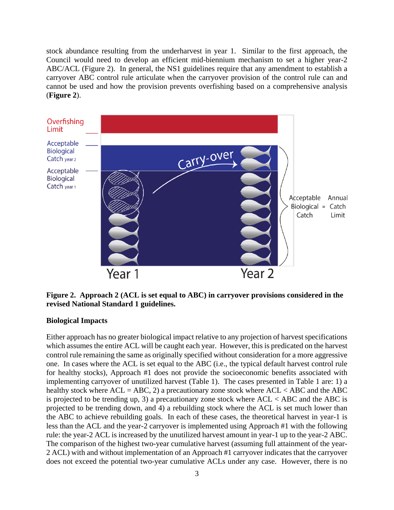stock abundance resulting from the underharvest in year 1. Similar to the first approach, the Council would need to develop an efficient mid-biennium mechanism to set a higher year-2 ABC/ACL (Figure 2). In general, the NS1 guidelines require that any amendment to establish a carryover ABC control rule articulate when the carryover provision of the control rule can and cannot be used and how the provision prevents overfishing based on a comprehensive analysis (**[Figure 2](#page-2-0)**).



<span id="page-2-0"></span>**Figure 2. Approach 2 (ACL is set equal to ABC) in carryover provisions considered in the revised National Standard 1 guidelines.**

#### **Biological Impacts**

Either approach has no greater biological impact relative to any projection of harvest specifications which assumes the entire ACL will be caught each year. However, this is predicated on the harvest control rule remaining the same as originally specified without consideration for a more aggressive one. In cases where the ACL is set equal to the ABC (i.e., the typical default harvest control rule for healthy stocks), Approach #1 does not provide the socioeconomic benefits associated with implementing carryover of unutilized harvest [\(Table 1\)](#page-4-0). The cases presented in [Table 1](#page-4-0) are: 1) a healthy stock where  $ACL = ABC$ , 2) a precautionary zone stock where  $ACL < ABC$  and the ABC is projected to be trending up, 3) a precautionary zone stock where  $ACL < ABC$  and the ABC is projected to be trending down, and 4) a rebuilding stock where the ACL is set much lower than the ABC to achieve rebuilding goals. In each of these cases, the theoretical harvest in year-1 is less than the ACL and the year-2 carryover is implemented using Approach #1 with the following rule: the year-2 ACL is increased by the unutilized harvest amount in year-1 up to the year-2 ABC. The comparison of the highest two-year cumulative harvest (assuming full attainment of the year-2 ACL) with and without implementation of an Approach #1 carryover indicates that the carryover does not exceed the potential two-year cumulative ACLs under any case. However, there is no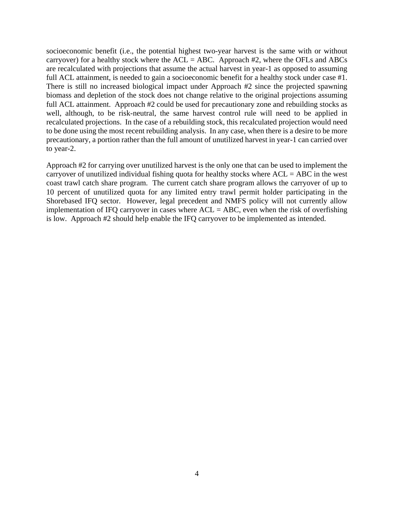socioeconomic benefit (i.e., the potential highest two-year harvest is the same with or without carryover) for a healthy stock where the  $ACL = ABC$ . Approach #2, where the OFLs and ABCs are recalculated with projections that assume the actual harvest in year-1 as opposed to assuming full ACL attainment, is needed to gain a socioeconomic benefit for a healthy stock under case #1. There is still no increased biological impact under Approach #2 since the projected spawning biomass and depletion of the stock does not change relative to the original projections assuming full ACL attainment. Approach #2 could be used for precautionary zone and rebuilding stocks as well, although, to be risk-neutral, the same harvest control rule will need to be applied in recalculated projections. In the case of a rebuilding stock, this recalculated projection would need to be done using the most recent rebuilding analysis. In any case, when there is a desire to be more precautionary, a portion rather than the full amount of unutilized harvest in year-1 can carried over to year-2.

Approach #2 for carrying over unutilized harvest is the only one that can be used to implement the carryover of unutilized individual fishing quota for healthy stocks where  $ACL = ABC$  in the west coast trawl catch share program. The current catch share program allows the carryover of up to 10 percent of unutilized quota for any limited entry trawl permit holder participating in the Shorebased IFQ sector. However, legal precedent and NMFS policy will not currently allow implementation of IFQ carryover in cases where  $ACL = ABC$ , even when the risk of overfishing is low. Approach #2 should help enable the IFQ carryover to be implemented as intended.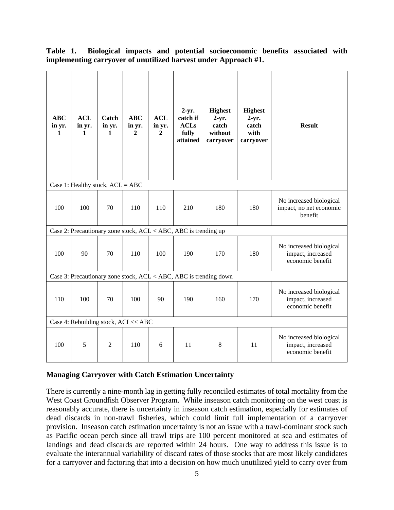| <b>ABC</b><br>in yr.<br>1                                         | <b>ACL</b><br>in yr.<br>1 | Catch<br>in yr.<br>1 | <b>ABC</b><br>in yr.<br>$\mathbf{2}$ | <b>ACL</b><br>in yr.<br>$\overline{2}$ | $2-yr.$<br>catch if<br><b>ACLs</b><br>fully<br>attained | <b>Highest</b><br>$2-yr.$<br>catch<br>without<br>carryover | <b>Highest</b><br>$2-yr.$<br>catch<br>with<br>carryover | <b>Result</b>                                                    |
|-------------------------------------------------------------------|---------------------------|----------------------|--------------------------------------|----------------------------------------|---------------------------------------------------------|------------------------------------------------------------|---------------------------------------------------------|------------------------------------------------------------------|
| Case 1: Healthy stock, $ACL = ABC$                                |                           |                      |                                      |                                        |                                                         |                                                            |                                                         |                                                                  |
| 100                                                               | 100                       | 70                   | 110                                  | 110                                    | 210                                                     | 180                                                        | 180                                                     | No increased biological<br>impact, no net economic<br>benefit    |
| Case 2: Precautionary zone stock, ACL < ABC, ABC is trending up   |                           |                      |                                      |                                        |                                                         |                                                            |                                                         |                                                                  |
| 100                                                               | 90                        | 70                   | 110                                  | 100                                    | 190                                                     | 170                                                        | 180                                                     | No increased biological<br>impact, increased<br>economic benefit |
| Case 3: Precautionary zone stock, ACL < ABC, ABC is trending down |                           |                      |                                      |                                        |                                                         |                                                            |                                                         |                                                                  |
| 110                                                               | 100                       | 70                   | 100                                  | 90                                     | 190                                                     | 160                                                        | 170                                                     | No increased biological<br>impact, increased<br>economic benefit |
| Case 4: Rebuilding stock, ACL<< ABC                               |                           |                      |                                      |                                        |                                                         |                                                            |                                                         |                                                                  |
| 100                                                               | 5                         | $\overline{2}$       | 110                                  | 6                                      | 11                                                      | 8                                                          | 11                                                      | No increased biological<br>impact, increased<br>economic benefit |

<span id="page-4-0"></span>**Table 1. Biological impacts and potential socioeconomic benefits associated with implementing carryover of unutilized harvest under Approach #1.**

### **Managing Carryover with Catch Estimation Uncertainty**

There is currently a nine-month lag in getting fully reconciled estimates of total mortality from the West Coast Groundfish Observer Program. While inseason catch monitoring on the west coast is reasonably accurate, there is uncertainty in inseason catch estimation, especially for estimates of dead discards in non-trawl fisheries, which could limit full implementation of a carryover provision. Inseason catch estimation uncertainty is not an issue with a trawl-dominant stock such as Pacific ocean perch since all trawl trips are 100 percent monitored at sea and estimates of landings and dead discards are reported within 24 hours. One way to address this issue is to evaluate the interannual variability of discard rates of those stocks that are most likely candidates for a carryover and factoring that into a decision on how much unutilized yield to carry over from